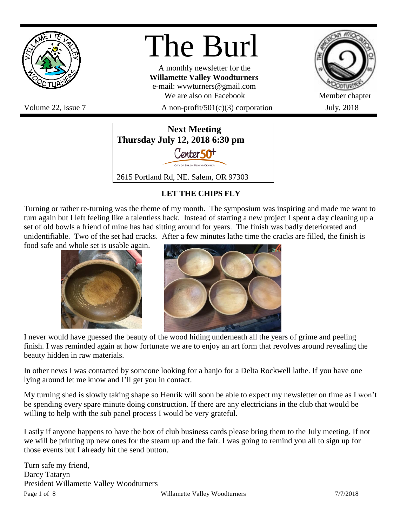

# The Burl

A monthly newsletter for the **Willamette Valley Woodturners** e-mail: wvwturners@gmail.com We are also on Facebook Member chapter

Volume 22, Issue 7  $\alpha$  A non-profit/501(c)(3) corporation July, 2018





# **LET THE CHIPS FLY**

Turning or rather re-turning was the theme of my month. The symposium was inspiring and made me want to turn again but I left feeling like a talentless hack. Instead of starting a new project I spent a day cleaning up a set of old bowls a friend of mine has had sitting around for years. The finish was badly deteriorated and unidentifiable. Two of the set had cracks. After a few minutes lathe time the cracks are filled, the finish is

food safe and whole set is usable again.





I never would have guessed the beauty of the wood hiding underneath all the years of grime and peeling finish. I was reminded again at how fortunate we are to enjoy an art form that revolves around revealing the beauty hidden in raw materials.

In other news I was contacted by someone looking for a banjo for a Delta Rockwell lathe. If you have one lying around let me know and I'll get you in contact.

My turning shed is slowly taking shape so Henrik will soon be able to expect my newsletter on time as I won't be spending every spare minute doing construction. If there are any electricians in the club that would be willing to help with the sub panel process I would be very grateful.

Lastly if anyone happens to have the box of club business cards please bring them to the July meeting. If not we will be printing up new ones for the steam up and the fair. I was going to remind you all to sign up for those events but I already hit the send button.

Page 1 of 8 7/7/2018 Turn safe my friend, Darcy Tataryn President Willamette Valley Woodturners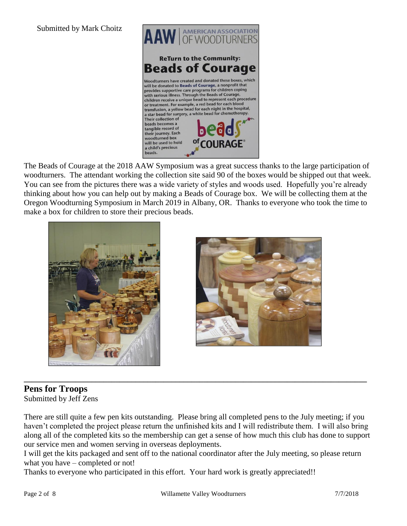

The Beads of Courage at the 2018 AAW Symposium was a great success thanks to the large participation of woodturners. The attendant working the collection site said 90 of the boxes would be shipped out that week. You can see from the pictures there was a wide variety of styles and woods used. Hopefully you're already thinking about how you can help out by making a Beads of Courage box. We will be collecting them at the Oregon Woodturning Symposium in March 2019 in Albany, OR. Thanks to everyone who took the time to make a box for children to store their precious beads.





# **Pens for Troops**

Submitted by Jeff Zens

There are still quite a few pen kits outstanding. Please bring all completed pens to the July meeting; if you haven't completed the project please return the unfinished kits and I will redistribute them. I will also bring along all of the completed kits so the membership can get a sense of how much this club has done to support our service men and women serving in overseas deployments.

**\_\_\_\_\_\_\_\_\_\_\_\_\_\_\_\_\_\_\_\_\_\_\_\_\_\_\_\_\_\_\_\_\_\_\_\_\_\_\_\_\_\_\_\_\_\_\_\_\_\_\_\_\_\_\_\_\_\_\_\_\_\_\_\_\_\_\_\_\_\_\_\_\_\_\_\_\_\_\_\_\_\_\_\_\_\_**

I will get the kits packaged and sent off to the national coordinator after the July meeting, so please return what you have – completed or not!

Thanks to everyone who participated in this effort. Your hard work is greatly appreciated!!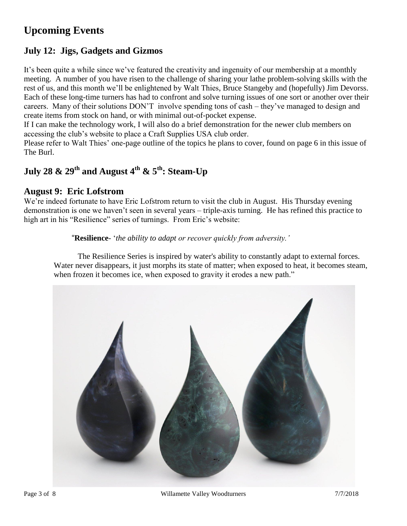# **Upcoming Events**

# **July 12: Jigs, Gadgets and Gizmos**

It's been quite a while since we've featured the creativity and ingenuity of our membership at a monthly meeting. A number of you have risen to the challenge of sharing your lathe problem-solving skills with the rest of us, and this month we'll be enlightened by Walt Thies, Bruce Stangeby and (hopefully) Jim Devorss. Each of these long-time turners has had to confront and solve turning issues of one sort or another over their careers. Many of their solutions DON'T involve spending tons of cash – they've managed to design and create items from stock on hand, or with minimal out-of-pocket expense.

If I can make the technology work, I will also do a brief demonstration for the newer club members on accessing the club's website to place a Craft Supplies USA club order.

Please refer to Walt Thies' one-page outline of the topics he plans to cover, found on page 6 in this issue of The Burl.

# **July 28 & 29th and August 4th & 5th: Steam-Up**

# **August 9: Eric Lofstrom**

We're indeed fortunate to have Eric Lofstrom return to visit the club in August. His Thursday evening demonstration is one we haven't seen in several years – triple-axis turning. He has refined this practice to high art in his "Resilience" series of turnings. From Eric's website:

#### "**Resilience**- '*the ability to adapt or recover quickly from adversity.'*

The Resilience Series is inspired by water's ability to constantly adapt to external forces. Water never disappears, it just morphs its state of matter; when exposed to heat, it becomes steam, when frozen it becomes ice, when exposed to gravity it erodes a new path."

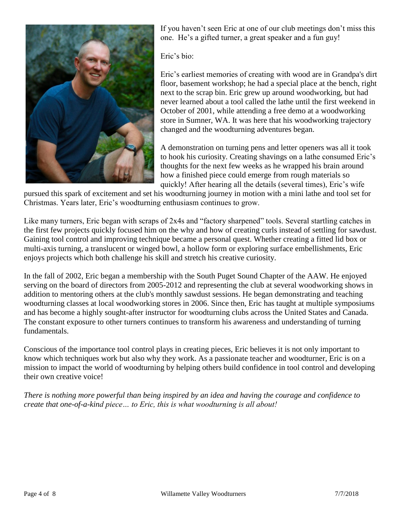

If you haven't seen Eric at one of our club meetings don't miss this one. He's a gifted turner, a great speaker and a fun guy!

Eric's bio:

Eric's earliest memories of creating with wood are in Grandpa's dirt floor, basement workshop; he had a special place at the bench, right next to the scrap bin. Eric grew up around woodworking, but had never learned about a tool called the lathe until the first weekend in October of 2001, while attending a free demo at a woodworking store in Sumner, WA. It was here that his woodworking trajectory changed and the woodturning adventures began.

A demonstration on turning pens and letter openers was all it took to hook his curiosity. Creating shavings on a lathe consumed Eric's thoughts for the next few weeks as he wrapped his brain around how a finished piece could emerge from rough materials so quickly! After hearing all the details (several times), Eric's wife

pursued this spark of excitement and set his woodturning journey in motion with a mini lathe and tool set for Christmas. Years later, Eric's woodturning enthusiasm continues to grow.

Like many turners, Eric began with scraps of 2x4s and "factory sharpened" tools. Several startling catches in the first few projects quickly focused him on the why and how of creating curls instead of settling for sawdust. Gaining tool control and improving technique became a personal quest. Whether creating a fitted lid box or multi-axis turning, a translucent or winged bowl, a hollow form or exploring surface embellishments, Eric enjoys projects which both challenge his skill and stretch his creative curiosity.

In the fall of 2002, Eric began a membership with the South Puget Sound Chapter of the AAW. He enjoyed serving on the board of directors from 2005-2012 and representing the club at several woodworking shows in addition to mentoring others at the club's monthly sawdust sessions. He began demonstrating and teaching woodturning classes at local woodworking stores in 2006. Since then, Eric has taught at multiple symposiums and has become a highly sought-after instructor for woodturning clubs across the United States and Canada. The constant exposure to other turners continues to transform his awareness and understanding of turning fundamentals.

Conscious of the importance tool control plays in creating pieces, Eric believes it is not only important to know which techniques work but also why they work. As a passionate teacher and woodturner, Eric is on a mission to impact the world of woodturning by helping others build confidence in tool control and developing their own creative voice!

*There is nothing more powerful than being inspired by an idea and having the courage and confidence to create that one-of-a-kind piece… to Eric, this is what woodturning is all about!*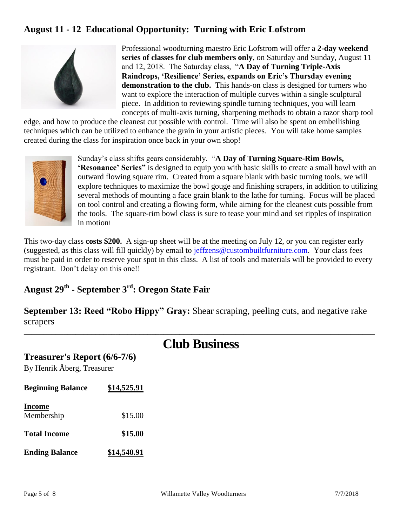# **August 11 - 12 Educational Opportunity: Turning with Eric Lofstrom**



Professional woodturning maestro Eric Lofstrom will offer a **2-day weekend series of classes for club members only**, on Saturday and Sunday, August 11 and 12, 2018. The Saturday class, "**A Day of Turning Triple-Axis Raindrops, 'Resilience' Series, expands on Eric's Thursday evening demonstration to the club.** This hands-on class is designed for turners who want to explore the interaction of multiple curves within a single sculptural piece. In addition to reviewing spindle turning techniques, you will learn concepts of multi-axis turning, sharpening methods to obtain a razor sharp tool

edge, and how to produce the cleanest cut possible with control. Time will also be spent on embellishing techniques which can be utilized to enhance the grain in your artistic pieces. You will take home samples created during the class for inspiration once back in your own shop!



Sunday's class shifts gears considerably. "**A Day of Turning Square-Rim Bowls, 'Resonance' Series"** is designed to equip you with basic skills to create a small bowl with an outward flowing square rim. Created from a square blank with basic turning tools, we will explore techniques to maximize the bowl gouge and finishing scrapers, in addition to utilizing several methods of mounting a face grain blank to the lathe for turning. Focus will be placed on tool control and creating a flowing form, while aiming for the cleanest cuts possible from the tools. The square-rim bowl class is sure to tease your mind and set ripples of inspiration in motion!

This two-day class **costs \$200.** A sign-up sheet will be at the meeting on July 12, or you can register early (suggested, as this class will fill quickly) by email to [jeffzens@custombuiltfurniture.com.](mailto:jeffzens@custombuiltfurniture.com) Your class fees must be paid in order to reserve your spot in this class. A list of tools and materials will be provided to every registrant. Don't delay on this one!!

# **August 29th - September 3rd: Oregon State Fair**

**September 13: Reed "Robo Hippy" Gray:** Shear scraping, peeling cuts, and negative rake scrapers

# **Club Business**

**\_\_\_\_\_\_\_\_\_\_\_\_\_\_\_\_\_\_\_\_\_\_\_\_\_\_\_\_\_\_\_\_\_\_\_\_\_\_\_\_\_\_\_\_\_\_\_\_\_\_\_\_\_\_\_\_\_\_\_\_\_\_\_\_\_\_\_\_\_\_\_\_\_\_\_\_\_\_\_\_\_\_\_\_\_\_\_\_**

#### **Treasurer's Report (6/6-7/6)**

By Henrik Åberg, Treasurer

| <b>Beginning Balance</b>    | \$14,525.91 |
|-----------------------------|-------------|
| <b>Income</b><br>Membership | \$15.00     |
| <b>Total Income</b>         | \$15.00     |
| <b>Ending Balance</b>       | \$14,540.91 |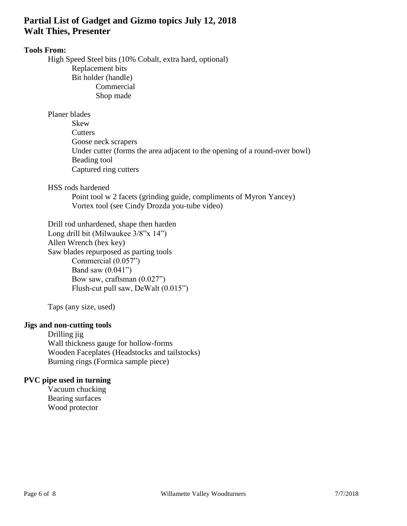# **Partial List of Gadget and Gizmo topics July 12, 2018 Walt Thies, Presenter**

#### **Tools From:**

High Speed Steel bits (10% Cobalt, extra hard, optional) Replacement bits Bit holder (handle) Commercial Shop made

Planer blades

Skew **Cutters** Goose neck scrapers Under cutter (forms the area adjacent to the opening of a round-over bowl) Beading tool Captured ring cutters

HSS rods hardened

Point tool w 2 facets (grinding guide, compliments of Myron Yancey) Vortex tool (see Cindy Drozda you-tube video)

Drill rod unhardened, shape then harden Long drill bit (Milwaukee 3/8"x 14") Allen Wrench (hex key) Saw blades repurposed as parting tools Commercial (0.057") Band saw (0.041") Bow saw, craftsman (0.027") Flush-cut pull saw, DeWalt (0.015")

Taps (any size, used)

#### **Jigs and non-cutting tools**

Drilling jig Wall thickness gauge for hollow-forms Wooden Faceplates (Headstocks and tailstocks) Burning rings (Formica sample piece)

#### **PVC pipe used in turning**

Vacuum chucking Bearing surfaces Wood protector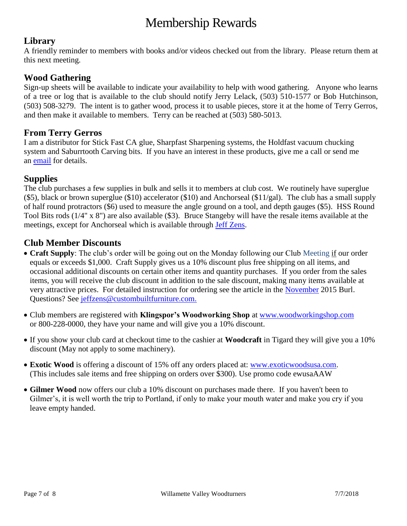# Membership Rewards

# **Library**

A friendly reminder to members with books and/or videos checked out from the library. Please return them at this next meeting.

# **Wood Gathering**

Sign-up sheets will be available to indicate your availability to help with wood gathering. Anyone who learns of a tree or log that is available to the club should notify Jerry Lelack, (503) 510-1577 or Bob Hutchinson, (503) 508-3279. The intent is to gather wood, process it to usable pieces, store it at the home of Terry Gerros, and then make it available to members. Terry can be reached at (503) 580-5013.

# **From Terry Gerros**

I am a distributor for Stick Fast CA glue, Sharpfast Sharpening systems, the Holdfast vacuum chucking system and Saburrtooth Carving bits. If you have an interest in these products, give me a call or send me an [email](mailto:gerrost@yahoo.com) for details.

# **Supplies**

The club purchases a few supplies in bulk and sells it to members at club cost. We routinely have superglue (\$5), black or brown superglue (\$10) accelerator (\$10) and Anchorseal (\$11/gal). The club has a small supply of half round protractors (\$6) used to measure the angle ground on a tool, and depth gauges (\$5). HSS Round Tool Bits rods (1/4" x 8") are also available (\$3). Bruce Stangeby will have the resale items available at the meetings, except for Anchorseal which is available through [Jeff Zens.](mailto:jszens@custombuiltfurniture.com)

# **Club Member Discounts**

- **Craft Supply**: The club's order will be going out on the Monday following our Club Meeting if our order equals or exceeds \$1,000. Craft Supply gives us a 10% discount plus free shipping on all items, and occasional additional discounts on certain other items and quantity purchases. If you order from the sales items, you will receive the club discount in addition to the sale discount, making many items available at very attractive prices. For detailed instruction for ordering see the article in the [November](http://www.willamettevalleywoodturners.com/newsletters/2015_11_WVW_Newsletter.pdf) 2015 Burl. Questions? See [jeffzens@custombuiltfurniture.com.](mailto:jeffzens@custombuiltfurniture.com.)
- Club members are registered with **Klingspor's Woodworking Shop** at [www.woodworkingshop.com](http://www.woodworkingshop.com/)  or 800-228-0000, they have your name and will give you a 10% discount.
- If you show your club card at checkout time to the cashier at **Woodcraft** in Tigard they will give you a 10% discount (May not apply to some machinery).
- **Exotic Wood** is offering a discount of 15% off any orders placed at: [www.exoticwoodsusa.com.](http://www.exoticwoodsusa.com/) (This includes sale items and free shipping on orders over \$300). Use promo code ewusaAAW
- **Gilmer Wood** now offers our club a 10% discount on purchases made there. If you haven't been to Gilmer's, it is well worth the trip to Portland, if only to make your mouth water and make you cry if you leave empty handed.